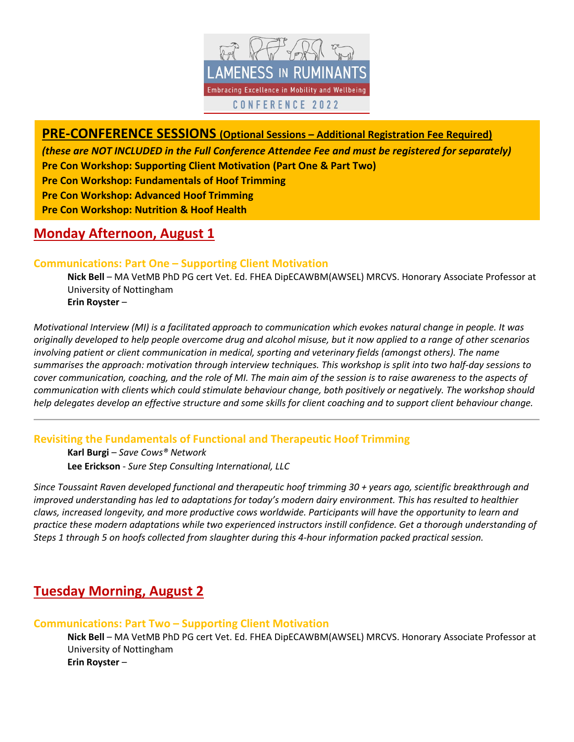

# **PRE-CONFERENCE SESSIONS (Optional Sessions – Additional Registration Fee Required)**

*(these are NOT INCLUDED in the Full Conference Attendee Fee and must be registered for separately)* **Pre Con Workshop: Supporting Client Motivation (Part One & Part Two)** 

**Pre Con Workshop: Fundamentals of Hoof Trimming** 

**Pre Con Workshop: Advanced Hoof Trimming** 

**Pre Con Workshop: Nutrition & Hoof Health** 

# **Monday Afternoon, August 1**

# **Communications: Part One – Supporting Client Motivation**

**Nick Bell** – MA VetMB PhD PG cert Vet. Ed. FHEA DipECAWBM(AWSEL) MRCVS. Honorary Associate Professor at University of Nottingham **Erin Royster** –

*Motivational Interview (MI) is a facilitated approach to communication which evokes natural change in people. It was originally developed to help people overcome drug and alcohol misuse, but it now applied to a range of other scenarios involving patient or client communication in medical, sporting and veterinary fields (amongst others). The name summarises the approach: motivation through interview techniques. This workshop is split into two half-day sessions to cover communication, coaching, and the role of MI. The main aim of the session is to raise awareness to the aspects of communication with clients which could stimulate behaviour change, both positively or negatively. The workshop should help delegates develop an effective structure and some skills for client coaching and to support client behaviour change.*

**Revisiting the Fundamentals of Functional and Therapeutic Hoof Trimming** 

 **Karl Burgi** – *Save Cows® Network* **Lee Erickson** - *Sure Step Consulting International, LLC*

*Since Toussaint Raven developed functional and therapeutic hoof trimming 30 + years ago, scientific breakthrough and improved understanding has led to adaptations for today's modern dairy environment. This has resulted to healthier claws, increased longevity, and more productive cows worldwide. Participants will have the opportunity to learn and practice these modern adaptations while two experienced instructors instill confidence. Get a thorough understanding of Steps 1 through 5 on hoofs collected from slaughter during this 4-hour information packed practical session.*

# **Tuesday Morning, August 2**

# **Communications: Part Two – Supporting Client Motivation**

**Nick Bell** – MA VetMB PhD PG cert Vet. Ed. FHEA DipECAWBM(AWSEL) MRCVS. Honorary Associate Professor at University of Nottingham **Erin Royster** –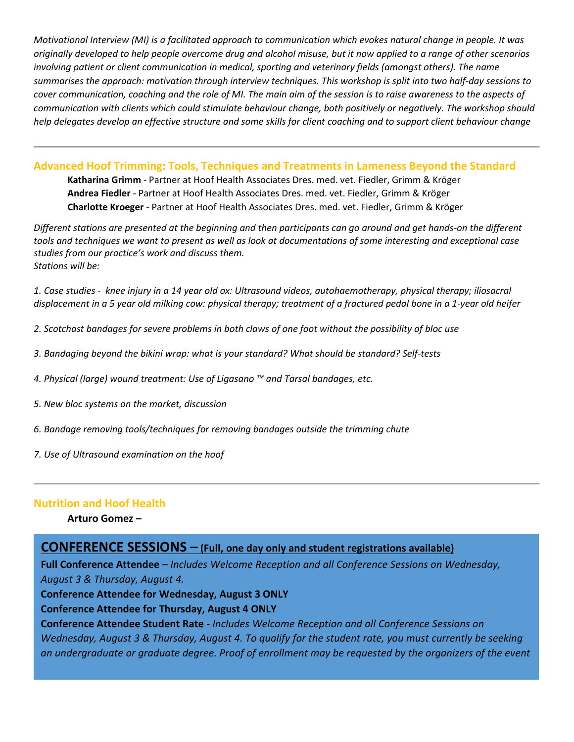*Motivational Interview (MI) is a facilitated approach to communication which evokes natural change in people. It was originally developed to help people overcome drug and alcohol misuse, but it now applied to a range of other scenarios involving patient or client communication in medical, sporting and veterinary fields (amongst others). The name summarises the approach: motivation through interview techniques. This workshop is split into two half-day sessions to cover communication, coaching and the role of MI. The main aim of the session is to raise awareness to the aspects of communication with clients which could stimulate behaviour change, both positively or negatively. The workshop should help delegates develop an effective structure and some skills for client coaching and to support client behaviour change*

**Advanced Hoof Trimming: Tools, Techniques and Treatments in Lameness Beyond the Standard** 

**Katharina Grimm** - Partner at Hoof Health Associates Dres. med. vet. Fiedler, Grimm & Kröger **Andrea Fiedler** - Partner at Hoof Health Associates Dres. med. vet. Fiedler, Grimm & Kröger **Charlotte Kroeger** - Partner at Hoof Health Associates Dres. med. vet. Fiedler, Grimm & Kröger

*Different stations are presented at the beginning and then participants can go around and get hands-on the different tools and techniques we want to present as well as look at documentations of some interesting and exceptional case studies from our practice's work and discuss them. Stations will be:*

*1. Case studies - knee injury in a 14 year old ox: Ultrasound videos, autohaemotherapy, physical therapy; iliosacral displacement in a 5 year old milking cow: physical therapy; treatment of a fractured pedal bone in a 1-year old heifer*

*2. Scotchast bandages for severe problems in both claws of one foot without the possibility of bloc use*

- *3. Bandaging beyond the bikini wrap: what is your standard? What should be standard? Self-tests*
- *4. Physical (large) wound treatment: Use of Ligasano ™ and Tarsal bandages, etc.*
- *5. New bloc systems on the market, discussion*
- *6. Bandage removing tools/techniques for removing bandages outside the trimming chute*
- *7. Use of Ultrasound examination on the hoof*

# **Nutrition and Hoof Health**

# **Arturo Gomez –**

# **CONFERENCE SESSIONS – (Full, one day only and student registrations available)**

**Full Conference Attendee** – *Includes Welcome Reception and all Conference Sessions on Wednesday, August 3 & Thursday, August 4.*

**Conference Attendee for Wednesday, August 3 ONLY** 

# **Conference Attendee for Thursday, August 4 ONLY**

**Conference Attendee Student Rate -** *Includes Welcome Reception and all Conference Sessions on Wednesday, August 3 & Thursday, August 4. To qualify for the student rate, you must currently be seeking an undergraduate or graduate degree. Proof of enrollment may be requested by the organizers of the event*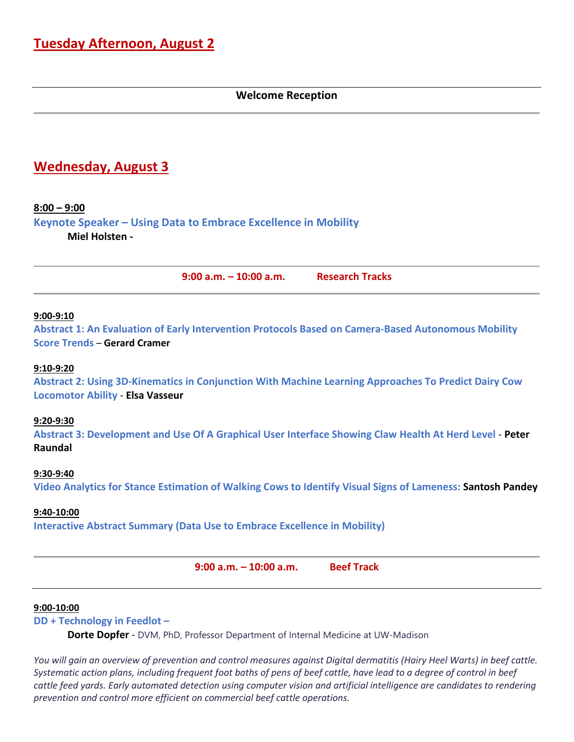# **Welcome Reception**

# **Wednesday, August 3**

# **8:00 – 9:00**

**Keynote Speaker – Using Data to Embrace Excellence in Mobility Miel Holsten -**

**9:00 a.m. – 10:00 a.m. Research Tracks**

#### **9:00-9:10**

**Abstract 1: An Evaluation of Early Intervention Protocols Based on Camera-Based Autonomous Mobility Score Trends** – **Gerard Cramer**

#### **9:10-9:20**

**Abstract 2: Using 3D-Kinematics in Conjunction With Machine Learning Approaches To Predict Dairy Cow Locomotor Ability** - **Elsa Vasseur**

#### **9:20-9:30**

**Abstract 3: Development and Use Of A Graphical User Interface Showing Claw Health At Herd Level** - **Peter Raundal**

#### **9:30-9:40**

**Video Analytics for Stance Estimation of Walking Cows to Identify Visual Signs of Lameness: Santosh Pandey**

#### **9:40-10:00**

**Interactive Abstract Summary (Data Use to Embrace Excellence in Mobility)**

**9:00 a.m. – 10:00 a.m. Beef Track**

#### **9:00-10:00**

#### **DD + Technology in Feedlot –**

**Dorte Dopfer** - DVM, PhD, Professor Department of Internal Medicine at UW-Madison

*You will gain an overview of prevention and control measures against Digital dermatitis (Hairy Heel Warts) in beef cattle. Systematic action plans, including frequent foot baths of pens of beef cattle, have lead to a degree of control in beef cattle feed yards. Early automated detection using computer vision and artificial intelligence are candidates to rendering prevention and control more efficient on commercial beef cattle operations.*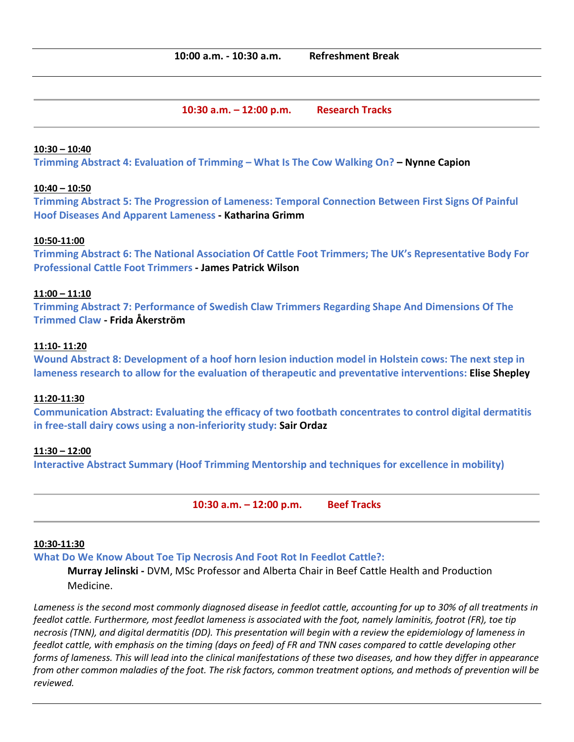**10:30 a.m. – 12:00 p.m. Research Tracks**

## **10:30 – 10:40**

**Trimming Abstract 4: Evaluation of Trimming – What Is The Cow Walking On? – Nynne Capion**

## **10:40 – 10:50**

**Trimming Abstract 5: The Progression of Lameness: Temporal Connection Between First Signs Of Painful Hoof Diseases And Apparent Lameness - Katharina Grimm**

## **10:50-11:00**

**Trimming Abstract 6: The National Association Of Cattle Foot Trimmers; The UK's Representative Body For Professional Cattle Foot Trimmers - James Patrick Wilson**

# **11:00 – 11:10**

**Trimming Abstract 7: Performance of Swedish Claw Trimmers Regarding Shape And Dimensions Of The Trimmed Claw - Frida Åkerström**

#### **11:10- 11:20**

**Wound Abstract 8: Development of a hoof horn lesion induction model in Holstein cows: The next step in lameness research to allow for the evaluation of therapeutic and preventative interventions: Elise Shepley**

## **11:20-11:30**

**Communication Abstract: Evaluating the efficacy of two footbath concentrates to control digital dermatitis in free-stall dairy cows using a non-inferiority study: Sair Ordaz**

## **11:30 – 12:00**

**Interactive Abstract Summary (Hoof Trimming Mentorship and techniques for excellence in mobility)**

**10:30 a.m. – 12:00 p.m. Beef Tracks** 

#### **10:30-11:30**

**What Do We Know About Toe Tip Necrosis And Foot Rot In Feedlot Cattle?:** 

**Murray Jelinski -** DVM, MSc Professor and Alberta Chair in Beef Cattle Health and Production Medicine.

*Lameness is the second most commonly diagnosed disease in feedlot cattle, accounting for up to 30% of all treatments in feedlot cattle. Furthermore, most feedlot lameness is associated with the foot, namely laminitis, footrot (FR), toe tip necrosis (TNN), and digital dermatitis (DD). This presentation will begin with a review the epidemiology of lameness in feedlot cattle, with emphasis on the timing (days on feed) of FR and TNN cases compared to cattle developing other forms of lameness. This will lead into the clinical manifestations of these two diseases, and how they differ in appearance from other common maladies of the foot. The risk factors, common treatment options, and methods of prevention will be reviewed.*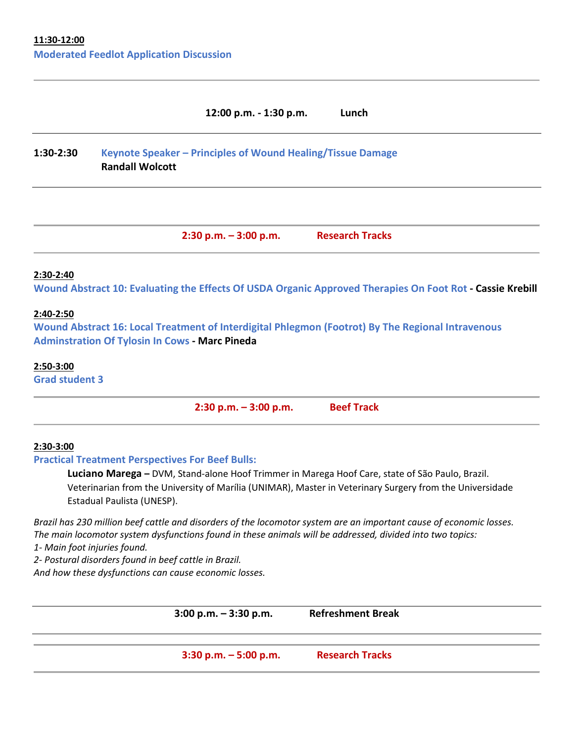# **12:00 p.m. - 1:30 p.m. Lunch**

# **1:30-2:30 Keynote Speaker – Principles of Wound Healing/Tissue Damage Randall Wolcott**

**2:30 p.m. – 3:00 p.m. Research Tracks**

#### **2:30-2:40**

**Wound Abstract 10: Evaluating the Effects Of USDA Organic Approved Therapies On Foot Rot - Cassie Krebill**

#### **2:40-2:50**

**Wound Abstract 16: Local Treatment of Interdigital Phlegmon (Footrot) By The Regional Intravenous Adminstration Of Tylosin In Cows - Marc Pineda**

#### **2:50-3:00**

**Grad student 3**

**2:30 p.m. – 3:00 p.m. Beef Track**

## **2:30-3:00**

**Practical Treatment Perspectives For Beef Bulls:** 

**Luciano Marega –** DVM, Stand-alone Hoof Trimmer in Marega Hoof Care, state of São Paulo, Brazil. Veterinarian from the University of Marília (UNIMAR), Master in Veterinary Surgery from the Universidade Estadual Paulista (UNESP).

*Brazil has 230 million beef cattle and disorders of the locomotor system are an important cause of economic losses. The main locomotor system dysfunctions found in these animals will be addressed, divided into two topics:*

*1- Main foot injuries found.*

*2- Postural disorders found in beef cattle in Brazil.*

*And how these dysfunctions can cause economic losses.*

**3:00 p.m. – 3:30 p.m. Refreshment Break**

**3:30 p.m. – 5:00 p.m. Research Tracks**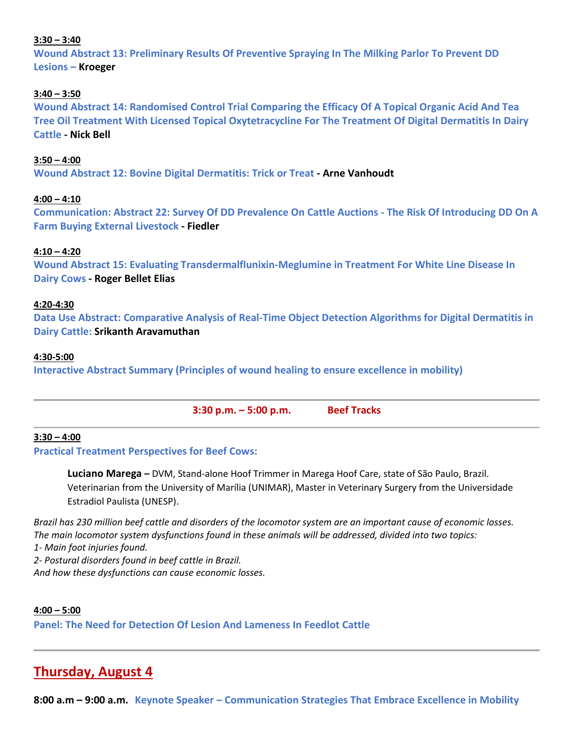# **3:30 – 3:40**

**Wound Abstract 13: Preliminary Results Of Preventive Spraying In The Milking Parlor To Prevent DD Lesions – Kroeger**

# **3:40 – 3:50**

**Wound Abstract 14: Randomised Control Trial Comparing the Efficacy Of A Topical Organic Acid And Tea Tree Oil Treatment With Licensed Topical Oxytetracycline For The Treatment Of Digital Dermatitis In Dairy Cattle - Nick Bell**

# **3:50 – 4:00**

**Wound Abstract 12: Bovine Digital Dermatitis: Trick or Treat - Arne Vanhoudt**

## **4:00 – 4:10**

**Communication: Abstract 22: Survey Of DD Prevalence On Cattle Auctions - The Risk Of Introducing DD On A Farm Buying External Livestock - Fiedler**

# **4:10 – 4:20**

**Wound Abstract 15: Evaluating Transdermalflunixin-Meglumine in Treatment For White Line Disease In Dairy Cows - Roger Bellet Elias**

## **4:20-4:30**

**Data Use Abstract: Comparative Analysis of Real-Time Object Detection Algorithms for Digital Dermatitis in Dairy Cattle: Srikanth Aravamuthan**

#### **4:30-5:00**

**Interactive Abstract Summary (Principles of wound healing to ensure excellence in mobility)**

| $3:30$ p.m. $-5:00$ p.m. | <b>Beef Tracks</b> |
|--------------------------|--------------------|
|                          |                    |

## **3:30 – 4:00**

**Practical Treatment Perspectives for Beef Cows:** 

**Luciano Marega –** DVM, Stand-alone Hoof Trimmer in Marega Hoof Care, state of São Paulo, Brazil. Veterinarian from the University of Marília (UNIMAR), Master in Veterinary Surgery from the Universidade Estradiol Paulista (UNESP).

*Brazil has 230 million beef cattle and disorders of the locomotor system are an important cause of economic losses. The main locomotor system dysfunctions found in these animals will be addressed, divided into two topics:*

*1- Main foot injuries found.*

*2- Postural disorders found in beef cattle in Brazil.*

*And how these dysfunctions can cause economic losses.*

**4:00 – 5:00 Panel: The Need for Detection Of Lesion And Lameness In Feedlot Cattle**

# **Thursday, August 4**

**8:00 a.m – 9:00 a.m. Keynote Speaker – Communication Strategies That Embrace Excellence in Mobility**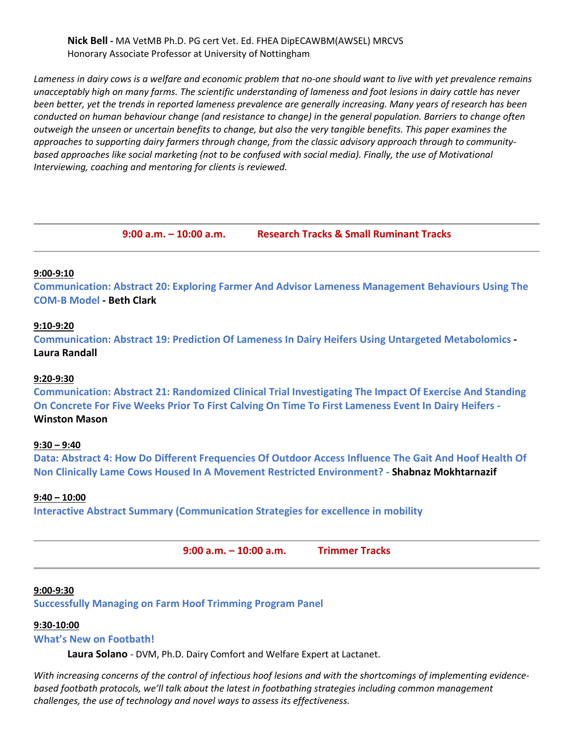**Nick Bell -** MA VetMB Ph.D. PG cert Vet. Ed. FHEA DipECAWBM(AWSEL) MRCVS Honorary Associate Professor at University of Nottingham

*Lameness in dairy cows is a welfare and economic problem that no-one should want to live with yet prevalence remains unacceptably high on many farms. The scientific understanding of lameness and foot lesions in dairy cattle has never been better, yet the trends in reported lameness prevalence are generally increasing. Many years of research has been conducted on human behaviour change (and resistance to change) in the general population. Barriers to change often outweigh the unseen or uncertain benefits to change, but also the very tangible benefits. This paper examines the approaches to supporting dairy farmers through change, from the classic advisory approach through to community*based approaches like social marketing (not to be confused with social media). Finally, the use of Motivational *Interviewing, coaching and mentoring for clients is reviewed.*

**9:00 a.m. – 10:00 a.m. Research Tracks & Small Ruminant Tracks**

#### **9:00-9:10**

**Communication: Abstract 20: Exploring Farmer And Advisor Lameness Management Behaviours Using The COM-B Model - Beth Clark**

#### **9:10-9:20**

**Communication: Abstract 19: Prediction Of Lameness In Dairy Heifers Using Untargeted Metabolomics - Laura Randall**

#### **9:20-9:30**

**Communication: Abstract 21: Randomized Clinical Trial Investigating The Impact Of Exercise And Standing On Concrete For Five Weeks Prior To First Calving On Time To First Lameness Event In Dairy Heifers - Winston Mason**

#### **9:30 – 9:40**

**Data: Abstract 4: How Do Different Frequencies Of Outdoor Access Influence The Gait And Hoof Health Of Non Clinically Lame Cows Housed In A Movement Restricted Environment? - Shabnaz Mokhtarnazif**

#### **9:40 – 10:00**

**Interactive Abstract Summary (Communication Strategies for excellence in mobility**

**9:00 a.m. – 10:00 a.m. Trimmer Tracks** 

#### **9:00-9:30**

**Successfully Managing on Farm Hoof Trimming Program Panel**

#### **9:30-10:00**

# **What's New on Footbath!**

**Laura Solano** - DVM, Ph.D. Dairy Comfort and Welfare Expert at Lactanet.

*With increasing concerns of the control of infectious hoof lesions and with the shortcomings of implementing evidencebased footbath protocols, we'll talk about the latest in footbathing strategies including common management challenges, the use of technology and novel ways to assess its effectiveness.*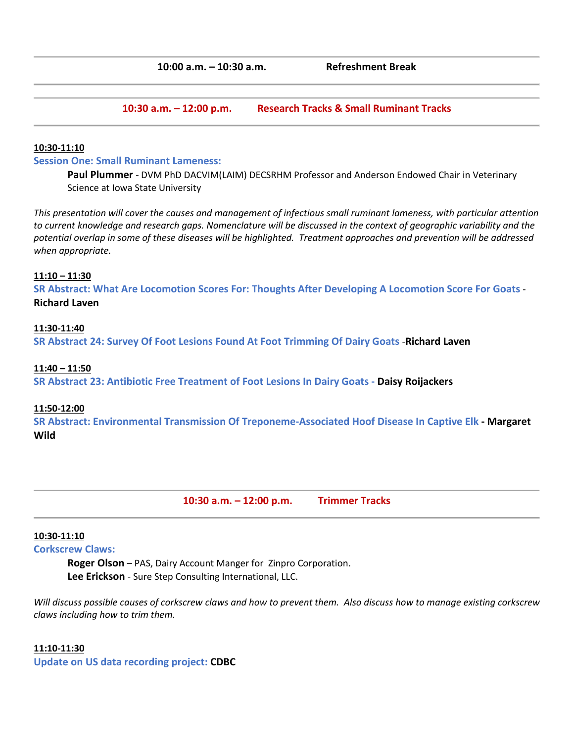**10:30 a.m. – 12:00 p.m. Research Tracks & Small Ruminant Tracks**

#### **10:30-11:10**

#### **Session One: Small Ruminant Lameness:**

**Paul Plummer** - DVM PhD DACVIM(LAIM) DECSRHM Professor and Anderson Endowed Chair in Veterinary Science at Iowa State University

*This presentation will cover the causes and management of infectious small ruminant lameness, with particular attention to current knowledge and research gaps. Nomenclature will be discussed in the context of geographic variability and the potential overlap in some of these diseases will be highlighted. Treatment approaches and prevention will be addressed when appropriate.*

#### **11:10 – 11:30**

**SR Abstract: What Are Locomotion Scores For: Thoughts After Developing A Locomotion Score For Goats** - **Richard Laven**

#### **11:30-11:40**

**SR Abstract 24: Survey Of Foot Lesions Found At Foot Trimming Of Dairy Goats** -**Richard Laven**

#### **11:40 – 11:50**

**SR Abstract 23: Antibiotic Free Treatment of Foot Lesions In Dairy Goats - Daisy Roijackers**

#### **11:50-12:00**

**SR Abstract: Environmental Transmission Of Treponeme-Associated Hoof Disease In Captive Elk - Margaret Wild**

**10:30 a.m. – 12:00 p.m. Trimmer Tracks**

#### **10:30-11:10**

#### **Corkscrew Claws:**

**Roger Olson** – PAS, Dairy Account Manger for Zinpro Corporation. **Lee Erickson** - Sure Step Consulting International, LLC.

*Will discuss possible causes of corkscrew claws and how to prevent them. Also discuss how to manage existing corkscrew claws including how to trim them.* 

#### **11:10-11:30**

**Update on US data recording project: CDBC**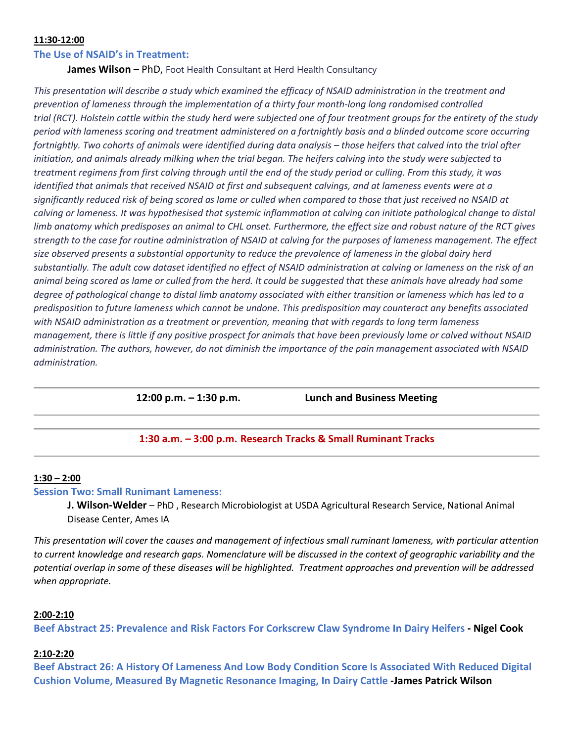#### **11:30-12:00**

#### **The Use of NSAID's in Treatment:**

**James Wilson** – PhD, Foot Health Consultant at Herd Health Consultancy

*This presentation will describe a study which examined the efficacy of NSAID administration in the treatment and prevention of lameness through the implementation of a thirty four month-long long randomised controlled trial (RCT). Holstein cattle within the study herd were subjected one of four treatment groups for the entirety of the study period with lameness scoring and treatment administered on a fortnightly basis and a blinded outcome score occurring fortnightly. Two cohorts of animals were identified during data analysis – those heifers that calved into the trial after initiation, and animals already milking when the trial began. The heifers calving into the study were subjected to treatment regimens from first calving through until the end of the study period or culling. From this study, it was identified that animals that received NSAID at first and subsequent calvings, and at lameness events were at a significantly reduced risk of being scored as lame or culled when compared to those that just received no NSAID at calving or lameness. It was hypothesised that systemic inflammation at calving can initiate pathological change to distal limb anatomy which predisposes an animal to CHL onset. Furthermore, the effect size and robust nature of the RCT gives strength to the case for routine administration of NSAID at calving for the purposes of lameness management. The effect size observed presents a substantial opportunity to reduce the prevalence of lameness in the global dairy herd substantially. The adult cow dataset identified no effect of NSAID administration at calving or lameness on the risk of an animal being scored as lame or culled from the herd. It could be suggested that these animals have already had some degree of pathological change to distal limb anatomy associated with either transition or lameness which has led to a predisposition to future lameness which cannot be undone. This predisposition may counteract any benefits associated with NSAID administration as a treatment or prevention, meaning that with regards to long term lameness management, there is little if any positive prospect for animals that have been previously lame or calved without NSAID administration. The authors, however, do not diminish the importance of the pain management associated with NSAID administration.* 

**12:00 p.m. – 1:30 p.m. Lunch and Business Meeting**

## **1:30 a.m. – 3:00 p.m. Research Tracks & Small Ruminant Tracks**

#### **1:30 – 2:00**

#### **Session Two: Small Runimant Lameness:**

**J. Wilson-Welder** – PhD , Research Microbiologist at USDA Agricultural Research Service, National Animal Disease Center, Ames IA

*This presentation will cover the causes and management of infectious small ruminant lameness, with particular attention to current knowledge and research gaps. Nomenclature will be discussed in the context of geographic variability and the potential overlap in some of these diseases will be highlighted. Treatment approaches and prevention will be addressed when appropriate.*

#### **2:00-2:10**

**Beef Abstract 25: Prevalence and Risk Factors For Corkscrew Claw Syndrome In Dairy Heifers - Nigel Cook**

#### **2:10-2:20**

**Beef Abstract 26: A History Of Lameness And Low Body Condition Score Is Associated With Reduced Digital Cushion Volume, Measured By Magnetic Resonance Imaging, In Dairy Cattle -James Patrick Wilson**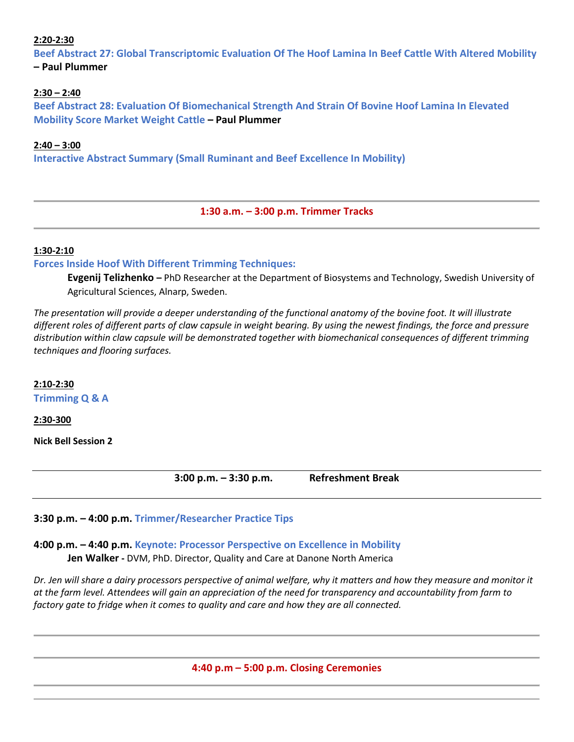# **2:20-2:30**

**Beef Abstract 27: Global Transcriptomic Evaluation Of The Hoof Lamina In Beef Cattle With Altered Mobility – Paul Plummer**

# **2:30 – 2:40**

**Beef Abstract 28: Evaluation Of Biomechanical Strength And Strain Of Bovine Hoof Lamina In Elevated Mobility Score Market Weight Cattle – Paul Plummer**

## **2:40 – 3:00**

**Interactive Abstract Summary (Small Ruminant and Beef Excellence In Mobility)** 

**1:30 a.m. – 3:00 p.m. Trimmer Tracks**

## **1:30-2:10**

**Forces Inside Hoof With Different Trimming Techniques:** 

**Evgenij Telizhenko –** PhD Researcher at the Department of Biosystems and Technology, Swedish University of Agricultural Sciences, Alnarp, Sweden.

*The presentation will provide a deeper understanding of the functional anatomy of the bovine foot. It will illustrate different roles of different parts of claw capsule in weight bearing. By using the newest findings, the force and pressure distribution within claw capsule will be demonstrated together with biomechanical consequences of different trimming techniques and flooring surfaces.* 

**2:10-2:30 Trimming Q & A**

**2:30-300**

**Nick Bell Session 2** 

**3:00 p.m. – 3:30 p.m. Refreshment Break**

**3:30 p.m. – 4:00 p.m. Trimmer/Researcher Practice Tips**

**4:00 p.m. – 4:40 p.m. Keynote: Processor Perspective on Excellence in Mobility Jen Walker -** DVM, PhD. Director, Quality and Care at Danone North America

*Dr. Jen will share a dairy processors perspective of animal welfare, why it matters and how they measure and monitor it at the farm level. Attendees will gain an appreciation of the need for transparency and accountability from farm to factory gate to fridge when it comes to quality and care and how they are all connected.*

**4:40 p.m – 5:00 p.m. Closing Ceremonies**